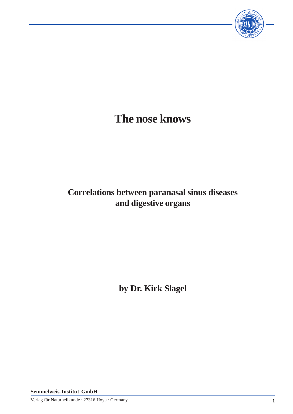

# **The nose knows**

# **Correlations between paranasal sinus diseases and digestive organs**

**by Dr. Kirk Slagel**

**Semmelweis-Institut GmbH**

Verlag für Naturheilkunde · 27316 Hoya · Germany 1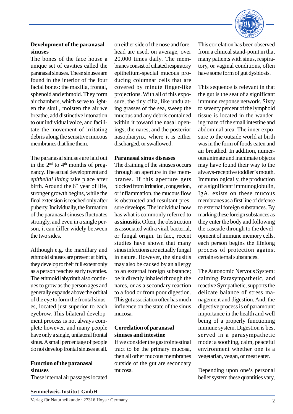

# **Development of the paranasal sinuses**

The bones of the face house a unique set of cavities called the paranasal sinuses. These sinuses are found in the interior of the four facial bones: the maxilla, frontal, sphenoid and ethmoid. They form air chambers, which serve to lighten the skull, moisten the air we breathe, add distinctive intonation to our individual voice, and facilitate the movement of irritating debris along the sensitive mucous membranes that line them.

The paranasal sinuses are laid out in the  $2<sup>nd</sup>$  to  $4<sup>th</sup>$  months of pregnancy. The actual development and *epithelial lining* take place after birth. Around the  $6<sup>th</sup>$  year of life, stronger growth begins, while the final extension is reached only after puberty. Individually, the formation of the paranasal sinuses fluctuates strongly, and even in a single person, it can differ widely between the two sides.

Although e.g. the maxillary and ethmoid sinuses are present at birth, they develop to their full extent only as a person reaches early twenties. The ethmoid labyrinth also continues to grow as the person ages and generally expands above the orbital of the eye to form the frontal sinuses, located just superior to each eyebrow. This bilateral development process is not always complete however, and many people have only a single, unilateral frontal sinus. A small percentage of people do not develop frontal sinuses at all.

#### **Function of the paranasal sinuses**

These internal air passages located

on either side of the nose and forehead are used, on average, over 20,000 times daily. The membranes consist of ciliated respiratory epithelium-special mucous producing columnar cells that are covered by minute finger-like projections. With all of this exposure, the tiny cilia, like undulating grasses of the sea, sweep the mucous and any debris contained within it toward the nasal openings, the nares, and the posterior nasopharynx, where it is either discharged, or swallowed.

### **Paranasal sinus diseases**

The draining of the sinuses occurs through an aperture in the membranes. If this aperture gets blocked from irritation, congestion, or inflammation, the mucous flow is obstructed and resultant pressure develops. The individual now has what is commonly referred to as **sinusitis**. Often, the obstruction is associated with a viral, bacterial, or fungal origin. In fact, recent studies have shown that many sinus infections are actually fungal in nature. However, the sinusitis may also be caused by an allergy to an external foreign substance; be it directly inhaled through the nares, or as a secondary reaction to a food or from poor digestion. This gut association often has much influence on the state of the sinus mucosa.

# **Correlation of paranasal sinuses and intestine**

If we consider the gastrointestinal tract to be the primary mucosa, then all other mucous membranes outside of the gut are secondary mucosa.

This correlation has been observed from a clinical stand-point in that many patients with sinus, respiratory, or vaginal conditions, often have some form of gut dysbiosis.

This sequence is relevant in that the gut is the seat of a significant immune response network. Sixty to seventy percent of the lymphoid tissue is located in the wandering maze of the small intestine and abdominal area. The inner exposure to the outside world at birth was in the form of foods eaten and air breathed. In addition, numerous animate and inanimate objects may have found their way to the always-receptive toddler's mouth. Immunologically, the production of a significant immunoglobulin, IgA, exists on these mucous membranes as a first line of defense to external foreign substances. By marking these foreign substances as they enter the body and following the cascade through to the development of immune memory cells, each person begins the lifelong process of protection against certain external substances.

The Autonomic Nervous System: calming Parasympathetic, and reactive Sympathetic, supports the delicate balance of stress management and digestion. And, the digestive process is of paramount importance in the health and well being of a properly functioning immune system. Digestion is best served in a parasympathetic mode: a soothing, calm, peaceful environment whether one is a vegetarian, vegan, or meat eater.

Depending upon one's personal belief system these quantities vary,

#### **Semmelweis-Institut GmbH**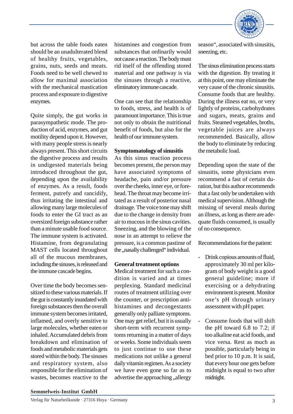

but across the table foods eaten should be an unadulterated blend of healthy fruits, vegetables, grains, nuts, seeds and meats. Foods need to be well chewed to allow for maximal association with the mechanical mastication process and exposure to digestive enzymes.

Quite simply, the gut works in parasympathetic mode. The production of acid, enzymes, and gut motility depend upon it. However, with many people stress is nearly always present. This short circuits the digestive process and results in undigested materials being introduced throughout the gut, depending upon the availability of enzymes. As a result, foods ferment, putrefy and rancidify, thus irritating the intestinal and allowing many large molecules of foods to enter the GI tract as an oversized foreign substance rather than a minute usable food source. The immune system is activated. Histamine, from degranulating MAST cells located throughout all of the mucous membranes, including the sinuses, is released and the immune cascade begins.

Over time the body becomes sensitized to these various materials. If the gut is constantly inundated with foreign substances then the overall immune system becomes irritated, inflamed, and overly sensitive to large molecules, whether eaten or inhaled. Accumulated debris from breakdown and elimination of foods and metabolic materials gets stored within the body. The sinuses and respiratory system, also responsible for the elimination of wastes, becomes reactive to the

histamines and congestion from substances that ordinarily would not cause a reaction. The body must rid itself of the offending stored material and one pathway is via the sinuses through a reactive, eliminatory immune cascade.

One can see that the relationship to foods, stress, and health is of paramount importance. This is true not only to obtain the nutritional benefit of foods, but also for the health of our immune system.

#### **Symptomatology of sinusitis**

As this sinus reaction process becomes present, the person may have associated symptoms of headache, pain and/or pressure over the cheeks, inner eye, or forehead. The throat may become irritated as a result of posterior nasal drainage. The voice tone may shift due to the change in density from air to mucous in the sinus cavities. Sneezing, and the blowing of the nose in an attempt to relieve the pressure, is a common pastime of the "nasally challenged" individual.

#### **General treatment options**

Medical treatment for such a condition is varied and at times perplexing. Standard medicinal routes of treatment utilizing over the counter, or prescription antihistamines and decongestants generally only palliate symptoms. One may get relief, but it is usually short-term with recurrent symptoms returning in a matter of days or weeks. Some individuals seem to just continue to use these medications not unlike a general daily vitamin regimen. As a society we have even gone so far as to advertise the approaching "allergy

season", associated with sinusitis, sneezing, etc.

The sinus elimination process starts with the digestion. By treating it at this point, one may eliminate the very cause of the chronic sinusitis. Consume foods that are healthy. During the illness eat no, or very lightly of proteins, carbohydrates and sugars, meats, grains and fruits. Steamed vegetables, broths, vegetable juices are always recommended. Basically, allow the body to eliminate by reducing the metabolic load.

Depending upon the state of the sinusitis, some physicians even recommend a fast of certain duration, but this author recommends that a fast only be undertaken with medical supervision. Although the missing of several meals during an illness, as long as there are adequate fluids consumed, is usually of no consequence.

Recommendations for the patient:

- Drink copious amounts of fluid, approximately 30 ml per kilogram of body weight is a good general guideline; more if exercising or a dehydrating environment is present. Monitor one's pH through urinary assessment with pH paper.
- Consume foods that will shift the pH toward 6.8 to 7.2; if too alkaline eat acid foods, and vice versa. Rest as much as possible, particularly being in bed prior to 10 p.m. It is said, that every hour one gets before midnight is equal to two after midnight.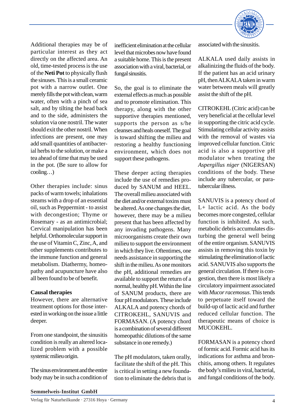

Additional therapies may be of particular interest as they act directly on the affected area. An old, time-tested process is the use of the **Neti Pot** to physically flush the sinuses. This is a small ceramic pot with a narrow outlet. One merely fills the pot with clean, warm water, often with a pinch of sea salt, and by tilting the head back and to the side, administers the solution via one nostril. The water should exit the other nostril. When infections are present, one may add small quantities of antibacterial herbs to the solution, or make a tea ahead of time that may be used in the pot. (Be sure to allow for cooling…)

Other therapies include: sinus packs of warm towels; inhalations steams with a drop of an essential oil, such as Peppermint - to assist with decongestion; Thyme or Rosemary - as an antimicrobial; Cervical manipulation has been helpful. Orthomolecular support in the use of Vitamin C, Zinc, A, and other supplements contributes to the immune function and general metabolism. Diathermy, homeopathy and acupuncture have also all been found to be of benefit.

#### **Causal therapies**

However, there are alternative treatment options for those interested in working on the issue a little deeper.

From one standpoint, the sinusitis condition is really an altered localized problem with a possible systemic milieu origin.

The sinus environment and the entire body may be in such a condition of inefficient elimination at the cellular level that microbes now have found a suitable home. This is the present association with a viral, bacterial, or fungal sinusitis.

So, the goal is to eliminate the external effects as much as possible and to promote elimination. This therapy, along with the other supportive therapies mentioned, supports the person as s/he cleanses and heals oneself. The goal is toward shifting the milieu and restoring a healthy functioning environment, which does not support these pathogens.

These deeper acting therapies include the use of remedies produced by SANUM and HEEL. The overall milieu associated with the diet and/or external toxins must be altered. As one changes the diet, however, there may be a milieu present that has been affected by any invading pathogens. Many microorganisms create their own milieu to support the environment in which they live. Oftentimes, one needs assistance in supporting the shift in the milieu. As one monitors the pH, additional remedies are available to support the return of a normal, healthy pH. Within the line of SANUM products, there are four pH modulators. These include ALKALA and potency chords of CITROKEHL, SANUVIS and FORMASAN. (A potency chord is a combination of several different homeopathic dilutions of the same substance in one remedy.)

The pH modulators, taken orally, facilitate the shift of the pH. This is critical in setting a new foundation to eliminate the debris that is associated with the sinusitis.

ALKALA used daily assists in alkalinizing the fluids of the body. If the patient has an acid urinary pH, then ALKALA taken in warm water between meals will greatly assist the shift of the pH.

CITROKEHL (Citric acid) can be very beneficial at the cellular level in supporting the citric acid cycle. Stimulating cellular activity assists with the removal of wastes via improved cellular function. Citric acid is also a supportive pH modulator when treating the *Aspergillus niger* (NIGERSAN) conditions of the body. These include any tubercular, or paratubercular illness.

SANUVIS is a potency chord of L+ lactic acid. As the body becomes more congested, cellular function is inhibited. As such, metabolic debris accumulates disturbing the general well being of the entire organism. SANUVIS assists in removing this toxin by stimulating the elimination of lactic acid. SANUVIS also supports the general circulation. If there is congestion, then there is most likely a circulatory impairment associated with *Mucor racemosus*. This tends to perpetuate itself toward the build-up of lactic acid and further reduced cellular function. The therapeutic means of choice is MUCOKEHL.

FORMASAN is a potency chord of formic acid. Formic acid has its indications for asthma and bronchitis, among others. It regulates the body's milieu in viral, bacterial, and fungal conditions of the body.